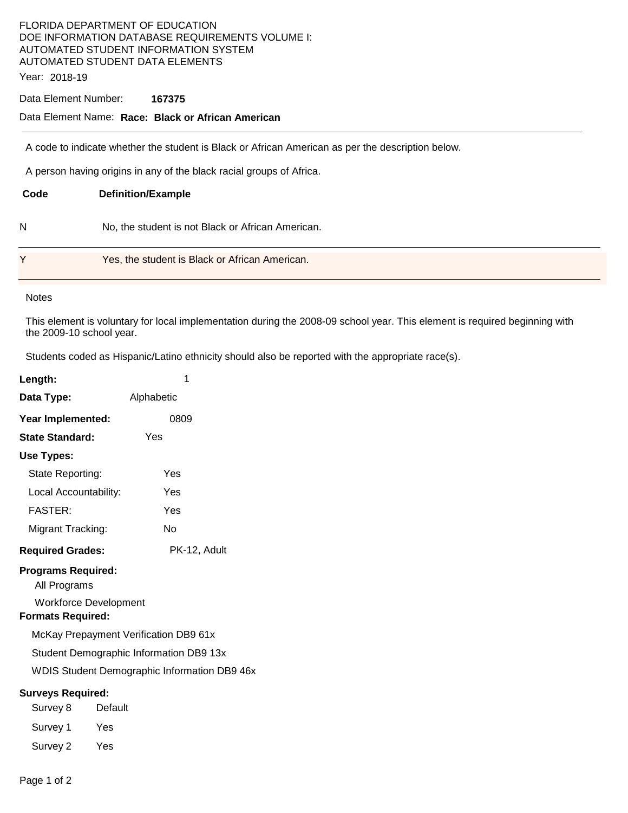# FLORIDA DEPARTMENT OF EDUCATION DOE INFORMATION DATABASE REQUIREMENTS VOLUME I: AUTOMATED STUDENT INFORMATION SYSTEM AUTOMATED STUDENT DATA ELEMENTS

Year: 2018-19

### Data Element Number: **167375**

### Data Element Name: **Race: Black or African American**

A code to indicate whether the student is Black or African American as per the description below.

A person having origins in any of the black racial groups of Africa.

| Code | <b>Definition/Example</b>                         |
|------|---------------------------------------------------|
| N    | No, the student is not Black or African American. |
| Y    | Yes, the student is Black or African American.    |

#### **Notes**

This element is voluntary for local implementation during the 2008-09 school year. This element is required beginning with the 2009-10 school year.

Students coded as Hispanic/Latino ethnicity should also be reported with the appropriate race(s).

| Length:                                                                          | 1            |  |  |  |
|----------------------------------------------------------------------------------|--------------|--|--|--|
| Data Type:                                                                       | Alphabetic   |  |  |  |
| Year Implemented:                                                                | 0809         |  |  |  |
| <b>State Standard:</b>                                                           | Yes          |  |  |  |
| Use Types:                                                                       |              |  |  |  |
| State Reporting:                                                                 | Yes          |  |  |  |
| Local Accountability:                                                            | Yes          |  |  |  |
| <b>FASTER:</b>                                                                   | Yes          |  |  |  |
| Migrant Tracking:                                                                | No           |  |  |  |
| <b>Required Grades:</b>                                                          | PK-12, Adult |  |  |  |
| <b>Programs Required:</b><br>All Programs<br><b>Workforce Development</b>        |              |  |  |  |
| <b>Formats Required:</b>                                                         |              |  |  |  |
| McKay Prepayment Verification DB9 61x<br>Student Demographic Information DB9 13x |              |  |  |  |
| <b>WDIS Student Demographic Information DB9 46x</b>                              |              |  |  |  |
| <b>Surveys Required:</b>                                                         |              |  |  |  |
| Survey 8                                                                         | Default      |  |  |  |
| Survey 1<br>Yes                                                                  |              |  |  |  |
| Survey 2<br>Yes                                                                  |              |  |  |  |